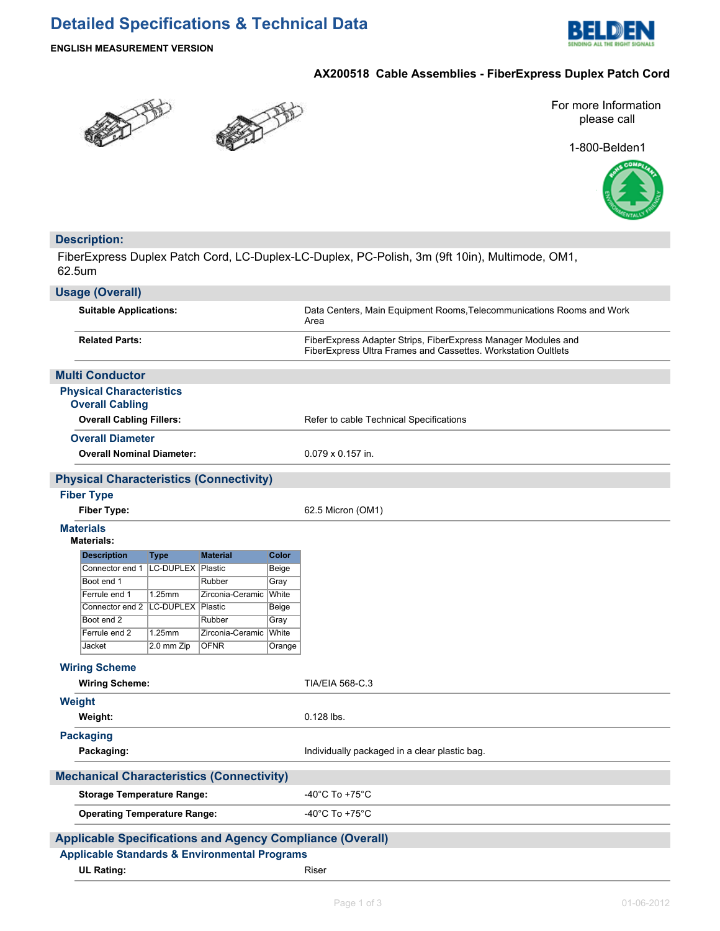# **Detailed Specifications & Technical Data**



**ENGLISH MEASUREMENT VERSION**

# **AX200518 Cable Assemblies - FiberExpress Duplex Patch Cord**





For more Information please call

1-800-Belden1



# **Description:**

FiberExpress Duplex Patch Cord, LC-Duplex-LC-Duplex, PC-Polish, 3m (9ft 10in), Multimode, OM1, 62.5um

|                                                                                                                              | <b>Usage (Overall)</b>                                      |             |                  |                |                                                                                                                                |  |
|------------------------------------------------------------------------------------------------------------------------------|-------------------------------------------------------------|-------------|------------------|----------------|--------------------------------------------------------------------------------------------------------------------------------|--|
| <b>Suitable Applications:</b>                                                                                                |                                                             |             |                  |                | Data Centers, Main Equipment Rooms, Telecommunications Rooms and Work<br>Area                                                  |  |
| <b>Related Parts:</b>                                                                                                        |                                                             |             |                  |                | FiberExpress Adapter Strips, FiberExpress Manager Modules and<br>FiberExpress Ultra Frames and Cassettes. Workstation Oultlets |  |
|                                                                                                                              | <b>Multi Conductor</b>                                      |             |                  |                |                                                                                                                                |  |
|                                                                                                                              | <b>Physical Characteristics</b><br><b>Overall Cabling</b>   |             |                  |                |                                                                                                                                |  |
|                                                                                                                              | <b>Overall Cabling Fillers:</b>                             |             |                  |                | Refer to cable Technical Specifications                                                                                        |  |
|                                                                                                                              |                                                             |             |                  |                |                                                                                                                                |  |
|                                                                                                                              | <b>Overall Diameter</b><br><b>Overall Nominal Diameter:</b> |             |                  |                | $0.079 \times 0.157$ in.                                                                                                       |  |
|                                                                                                                              |                                                             |             |                  |                |                                                                                                                                |  |
|                                                                                                                              | <b>Physical Characteristics (Connectivity)</b>              |             |                  |                |                                                                                                                                |  |
|                                                                                                                              | <b>Fiber Type</b>                                           |             |                  |                |                                                                                                                                |  |
|                                                                                                                              | <b>Fiber Type:</b>                                          |             |                  |                | 62.5 Micron (OM1)                                                                                                              |  |
|                                                                                                                              | <b>Materials</b><br><b>Materials:</b>                       |             |                  |                |                                                                                                                                |  |
|                                                                                                                              | <b>Description</b>                                          | <b>Type</b> | <b>Material</b>  | Color          |                                                                                                                                |  |
|                                                                                                                              | Connector end 1   LC-DUPLEX   Plastic                       |             |                  | Beige          |                                                                                                                                |  |
|                                                                                                                              | Boot end 1                                                  |             | Rubber           | Gray           |                                                                                                                                |  |
|                                                                                                                              | Ferrule end 1<br>Connector end 2   LC-DUPLEX   Plastic      | 1.25mm      | Zirconia-Ceramic | White<br>Beige |                                                                                                                                |  |
|                                                                                                                              | Boot end 2                                                  |             | Rubber           | Gray           |                                                                                                                                |  |
|                                                                                                                              | Ferrule end 2                                               | 1.25mm      | Zirconia-Ceramic | White          |                                                                                                                                |  |
|                                                                                                                              | Jacket                                                      | 2.0 mm Zip  | <b>OFNR</b>      | Orange         |                                                                                                                                |  |
|                                                                                                                              | <b>Wiring Scheme</b>                                        |             |                  |                |                                                                                                                                |  |
|                                                                                                                              | <b>Wiring Scheme:</b>                                       |             |                  |                | <b>TIA/EIA 568-C.3</b>                                                                                                         |  |
|                                                                                                                              |                                                             |             |                  |                |                                                                                                                                |  |
|                                                                                                                              | <b>Weight</b>                                               |             |                  |                |                                                                                                                                |  |
|                                                                                                                              | Weight:                                                     |             |                  |                | $0.128$ lbs.                                                                                                                   |  |
|                                                                                                                              | <b>Packaging</b>                                            |             |                  |                |                                                                                                                                |  |
|                                                                                                                              | Packaging:                                                  |             |                  |                | Individually packaged in a clear plastic bag.                                                                                  |  |
|                                                                                                                              | <b>Mechanical Characteristics (Connectivity)</b>            |             |                  |                |                                                                                                                                |  |
|                                                                                                                              | <b>Storage Temperature Range:</b>                           |             |                  |                | -40 $^{\circ}$ C To +75 $^{\circ}$ C                                                                                           |  |
|                                                                                                                              | <b>Operating Temperature Range:</b>                         |             |                  |                | -40 $^{\circ}$ C To +75 $^{\circ}$ C                                                                                           |  |
|                                                                                                                              |                                                             |             |                  |                |                                                                                                                                |  |
| <b>Applicable Specifications and Agency Compliance (Overall)</b><br><b>Applicable Standards &amp; Environmental Programs</b> |                                                             |             |                  |                |                                                                                                                                |  |
| <b>UL Rating:</b>                                                                                                            |                                                             |             |                  |                | Riser                                                                                                                          |  |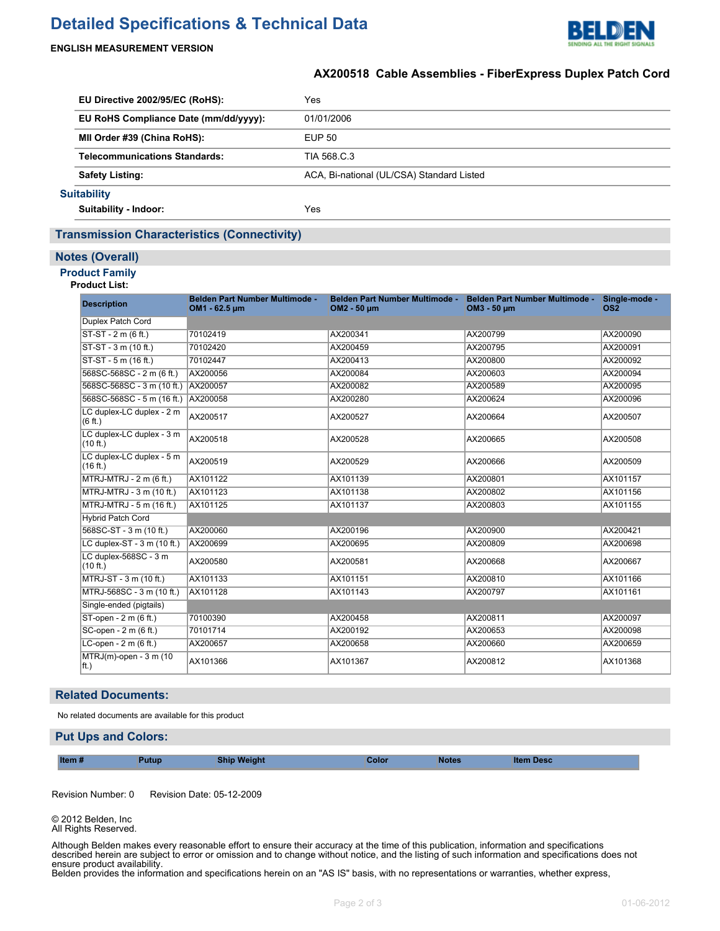# **Detailed Specifications & Technical Data**



## **ENGLISH MEASUREMENT VERSION**

# **AX200518 Cable Assemblies - FiberExpress Duplex Patch Cord**

| EU Directive 2002/95/EC (RoHS): |                                       | Yes                                       |
|---------------------------------|---------------------------------------|-------------------------------------------|
|                                 | EU RoHS Compliance Date (mm/dd/yyyy): | 01/01/2006                                |
|                                 | MII Order #39 (China RoHS):           | EUP 50                                    |
|                                 | <b>Telecommunications Standards:</b>  | TIA 568 C.3                               |
|                                 | <b>Safety Listing:</b>                | ACA, Bi-national (UL/CSA) Standard Listed |
|                                 | <b>Suitability</b>                    |                                           |
|                                 | Suitability - Indoor:                 | Yes                                       |

## **Transmission Characteristics (Connectivity)**

#### **Notes (Overall)**

## **Product Family**

#### **Product List:**

| <b>Description</b>                    | Belden Part Number Multimode -<br>OM1 - 62.5 um | Belden Part Number Multimode -<br>OM2 - 50 µm | Belden Part Number Multimode -<br>OM3 - 50 µm | Single-mode -<br>OS <sub>2</sub> |
|---------------------------------------|-------------------------------------------------|-----------------------------------------------|-----------------------------------------------|----------------------------------|
| Duplex Patch Cord                     |                                                 |                                               |                                               |                                  |
| $ST-ST - 2 m (6 ft.)$                 | 70102419                                        | AX200341                                      | AX200799                                      | AX200090                         |
| ST-ST - 3 m (10 ft.)                  | 70102420                                        | AX200459                                      | AX200795                                      | AX200091                         |
| ST-ST - 5 m (16 ft.)                  | 70102447                                        | AX200413                                      | AX200800                                      | AX200092                         |
| 568SC-568SC - 2 m (6 ft.)             | AX200056                                        | AX200084                                      | AX200603                                      | AX200094                         |
| 568SC-568SC - 3 m (10 ft.)            | AX200057                                        | AX200082                                      | AX200589                                      | AX200095                         |
| 568SC-568SC - 5 m (16 ft.) AX200058   |                                                 | AX200280                                      | AX200624                                      | AX200096                         |
| LC duplex-LC duplex - 2 m<br>(6 ft.)  | AX200517                                        | AX200527                                      | AX200664                                      | AX200507                         |
| LC duplex-LC duplex - 3 m<br>(10 ft.) | AX200518                                        | AX200528                                      | AX200665                                      | AX200508                         |
| LC duplex-LC duplex - 5 m<br>(16 ft.) | AX200519                                        | AX200529                                      | AX200666                                      | AX200509                         |
| $MTRJ-MTRJ - 2 m (6 ft.)$             | AX101122                                        | AX101139                                      | AX200801                                      | AX101157                         |
| MTRJ-MTRJ - 3 m (10 ft.)              | AX101123                                        | AX101138                                      | AX200802                                      | AX101156                         |
| MTRJ-MTRJ - 5 m (16 ft.)              | AX101125                                        | AX101137                                      | AX200803                                      | AX101155                         |
| <b>Hybrid Patch Cord</b>              |                                                 |                                               |                                               |                                  |
| 568SC-ST - 3 m (10 ft.)               | AX200060                                        | AX200196                                      | AX200900                                      | AX200421                         |
| LC duplex-ST - 3 m (10 ft.)           | AX200699                                        | AX200695                                      | AX200809                                      | AX200698                         |
| LC duplex-568SC - 3 m<br>(10 ft.)     | AX200580                                        | AX200581                                      | AX200668                                      | AX200667                         |
| MTRJ-ST - 3 m (10 ft.)                | AX101133                                        | AX101151                                      | AX200810                                      | AX101166                         |
| MTRJ-568SC - 3 m (10 ft.)             | AX101128                                        | AX101143                                      | AX200797                                      | AX101161                         |
| Single-ended (pigtails)               |                                                 |                                               |                                               |                                  |
| ST-open - 2 m (6 ft.)                 | 70100390                                        | AX200458                                      | AX200811                                      | AX200097                         |
| SC-open - 2 m (6 ft.)                 | 70101714                                        | AX200192                                      | AX200653                                      | AX200098                         |
| LC-open - 2 m (6 ft.)                 | AX200657                                        | AX200658                                      | AX200660                                      | AX200659                         |
| $MTRJ(m)$ -open - 3 m (10<br> ft.)    | AX101366                                        | AX101367                                      | AX200812                                      | AX101368                         |

#### **Related Documents:**

No related documents are available for this product

### **Put Ups and Colors:**

| Item#<br><b>Weight</b><br>Putub.<br><b>Notes</b><br>olor<br>em Desc<br>snii |  |  |
|-----------------------------------------------------------------------------|--|--|
|-----------------------------------------------------------------------------|--|--|

Revision Number: 0 Revision Date: 05-12-2009

© 2012 Belden, Inc All Rights Reserved.

Although Belden makes every reasonable effort to ensure their accuracy at the time of this publication, information and specifications described herein are subject to error or omission and to change without notice, and the listing of such information and specifications does not ensure product availability.

Belden provides the information and specifications herein on an "AS IS" basis, with no representations or warranties, whether express, statutory or implied. In no event will Belden be liable for any damages (including consequential, indirect, incidental, special, punitive, or